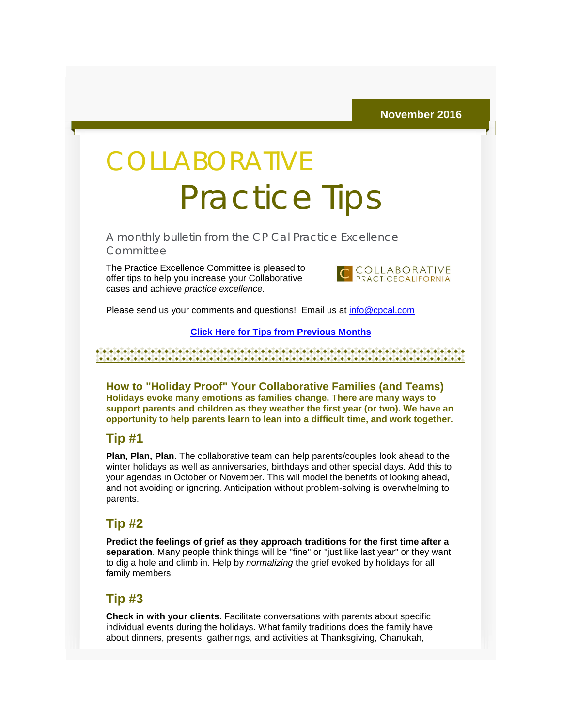# **COLLABORATIVE** Practice Tips

A monthly bulletin from the CP Cal Practice Excellence **Committee** 

The Practice Excellence Committee is pleased to offer tips to help you increase your Collaborative cases and achieve *practice excellence.*



Please send us your comments and questions! Email us at [info@cpcal.com](mailto:info@cpcal.com)

#### **[Click Here for Tips from Previous Months](http://r20.rs6.net/tn.jsp?f=001B3-OdquBV_dnGfrJyjHiqWZPWtbTIltcW50ockJmSOM2PIlQblaI9CHQ1yMAIsuQ1G45GQp4gKhP--mM-i-XZZXcbFyr2DUtGoI4yLo5QwD2BpEPEsv0hTn9nWJLSGeuKTumMzwwn2ZVQB10nm2ypfl4lnyZZ5Ttqp9oRMPRwq4yeIkSi2bByXW25btsWvx3SvabjErpiUqmnluLROjtgMZTRZY6b47Vh_yza9IYK2aK_v08GSPQmQ==&c=zymvK6U9T11NGlyIfuiRqWa82g6hOZVitmq5F4U9TMwB-fVTxyl_zA==&ch=vM4j1ZF-yUl8X_7RlpY4mKf65mqvmqwmIWOeW_MvF54og4gXpFKz1Q==)**

**How to "Holiday Proof" Your Collaborative Families (and Teams) Holidays evoke many emotions as families change. There are many ways to support parents and children as they weather the first year (or two). We have an opportunity to help parents learn to lean into a difficult time, and work together.**

#### **Tip #1**

**Plan, Plan, Plan.** The collaborative team can help parents/couples look ahead to the winter holidays as well as anniversaries, birthdays and other special days. Add this to your agendas in October or November. This will model the benefits of looking ahead, and not avoiding or ignoring. Anticipation without problem-solving is overwhelming to parents.

#### **Tip #2**

**Predict the feelings of grief as they approach traditions for the first time after a separation**. Many people think things will be "fine" or "just like last year" or they want to dig a hole and climb in. Help by *normalizing* the grief evoked by holidays for all family members.

### **Tip #3**

**Check in with your clients**. Facilitate conversations with parents about specific individual events during the holidays. What family traditions does the family have about dinners, presents, gatherings, and activities at Thanksgiving, Chanukah,